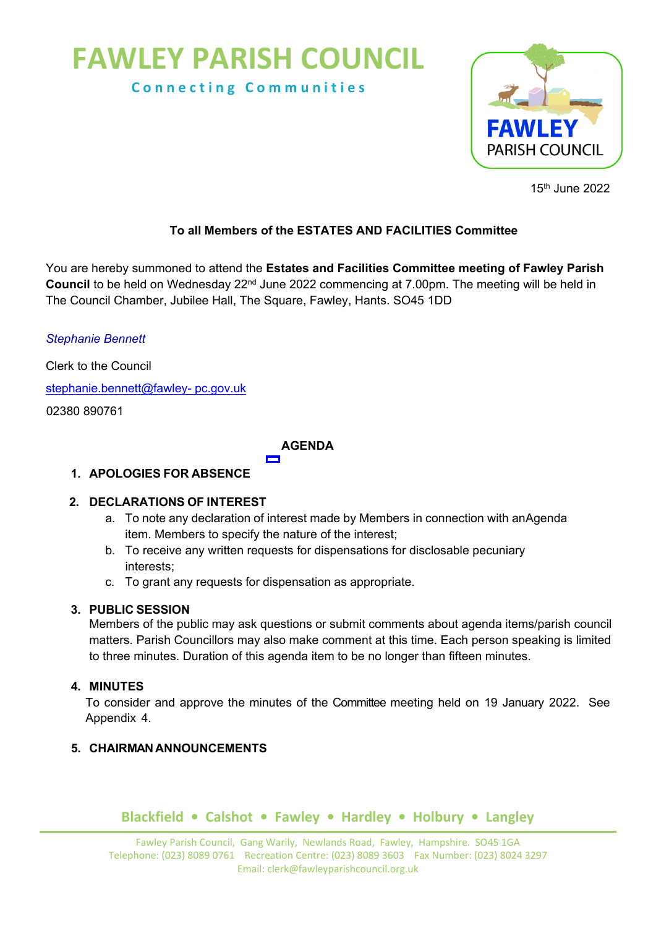# **FAWLEY PARISH COUNCIL**

**C o n n e c t i n g C o m m u n i t i e s**



15th June 2022

## **To all Members of the ESTATES AND FACILITIES Committee**

You are hereby summoned to attend the **Estates and Facilities Committee meeting of Fawley Parish Council** to be held on Wednesday 22nd June 2022 commencing at 7.00pm. The meeting will be held in The Council Chamber, Jubilee Hall, The Square, Fawley, Hants. SO45 1DD

*Stephanie Bennett*

Clerk to the Council

[stephanie.bennett@fawley- pc.gov.uk](mailto:stephanie.bennett@fawley-%20pc.gov.uk)

02380 890761

## **AGENDA**

## **1. APOLOGIES FOR ABSENCE**

## **2. DECLARATIONS OF INTEREST**

- a. To note any declaration of interest made by Members in connection with anAgenda item. Members to specify the nature of the interest;
- b. To receive any written requests for dispensations for disclosable pecuniary interests;
- c. To grant any requests for dispensation as appropriate.

# **3. PUBLIC SESSION**

Members of the public may ask questions or submit comments about agenda items/parish council matters. Parish Councillors may also make comment at this time. Each person speaking is limited to three minutes. Duration of this agenda item to be no longer than fifteen minutes.

# **4. MINUTES**

To consider and approve the minutes of the Committee meeting held on 19 January 2022. See Appendix 4.

# **5. CHAIRMAN ANNOUNCEMENTS**

# **Blackfield • Calshot • Fawley • Hardley • Holbury • Langley**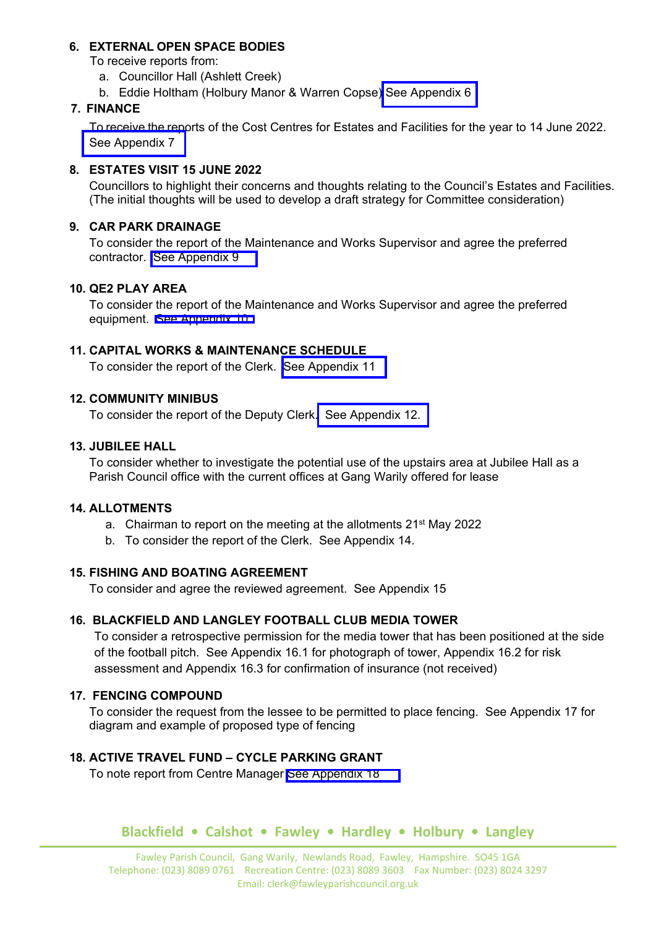#### **6. EXTERNAL OPEN SPACE BODIES**

To receive reports from:

- a. Councillor Hall (Ashlett Creek)
- b. Eddie Holtham (Holbury Manor & Warren Copse) [See Appendix 6](https://www.fawley-pc.gov.uk/wp-content/uploads/2022/06/Appendix-6-Holbury-Manor-and-Warren-Copse-report-June-2022.pdf)

#### **7. FINANCE**

To receive the reports of the Cost Centres for Estates and Facilities for the year to 14 June 2022. [See Appendix 7](https://www.fawley-pc.gov.uk/wp-content/uploads/2022/06/Appendix-7-Finance.pdf)

#### **8. ESTATES VISIT 15 JUNE 2022**

Councillors to highlight their concerns and thoughts relating to the Council's Estates and Facilities. (The initial thoughts will be used to develop a draft strategy for Committee consideration)

# **9. CAR PARK DRAINAGE**

To consider the report of the Maintenance and Works Supervisor and agree the preferred contractor. [See Appendix 9](https://www.fawley-pc.gov.uk/wp-content/uploads/2022/06/Appendix-9-June-22-Car-Park.pdf)

#### **10. QE2 PLAY AREA**

To consider the report of the Maintenance and Works Supervisor and agree the preferred equipment. [See Appendix 10.](https://www.fawley-pc.gov.uk/wp-content/uploads/2022/06/Appendix-10-Quotes-QE11.pdf)

#### **11. CAPITAL WORKS & MAINTENANCE SCHEDULE**

To consider the report of the Clerk. [See Appendix 11](https://www.fawley-pc.gov.uk/wp-content/uploads/2022/06/Appendix-11-capital-works-contracts.pdf)

#### **12. COMMUNITY MINIBUS**

To consider the report of the Deputy Clerk. [See Appendix 12.](https://www.fawley-pc.gov.uk/wp-content/uploads/2022/06/Appendix-12-Community-Minibus.pdf)

#### **13. JUBILEE HALL**

To consider whether to investigate the potential use of the upstairs area at Jubilee Hall as a Parish Council office with the current offices at Gang Warily offered for lease

#### **14. ALLOTMENTS**

- a. Chairman to report on the meeting at the allotments 21<sup>st</sup> May 2022
- b. To consider the report of the Clerk. See Appendix 14.

#### **15. FISHING AND BOATING AGREEMENT**

To consider and agree the reviewed agreement. See Appendix 15

## **16. BLACKFIELD AND LANGLEY FOOTBALL CLUB MEDIA TOWER**

To consider a retrospective permission for the media tower that has been positioned at the side of the football pitch. See Appendix 16.1 for photograph of tower, Appendix 16.2 for risk assessment and Appendix 16.3 for confirmation of insurance (not received)

## **17. FENCING COMPOUND**

To consider the request from the lessee to be permitted to place fencing. See Appendix 17 for diagram and example of proposed type of fencing

#### **18. ACTIVE TRAVEL FUND – CYCLE PARKING GRANT**

To note report from Centre Manager [See Appendix 18](https://www.fawley-pc.gov.uk/wp-content/uploads/2022/06/Appendix-18-Bike-Shelter.pdf) 

## **Blackfield • Calshot • Fawley • Hardley • Holbury • Langley**